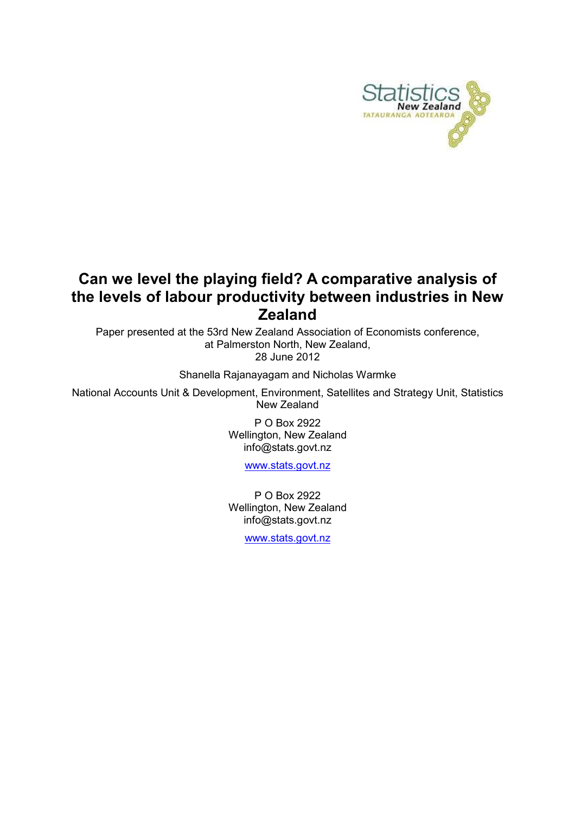

## Can we level the playing field? A comparative analysis of the levels of labour productivity between industries in New Zealand

Paper presented at the 53rd New Zealand Association of Economists conference, at Palmerston North, New Zealand, 28 June 2012

Shanella Rajanayagam and Nicholas Warmke

National Accounts Unit & Development, Environment, Satellites and Strategy Unit, Statistics New Zealand

> P O Box 2922 Wellington, New Zealand info@stats.govt.nz

> > www.stats.govt.nz

P O Box 2922 Wellington, New Zealand info@stats.govt.nz

www.stats.govt.nz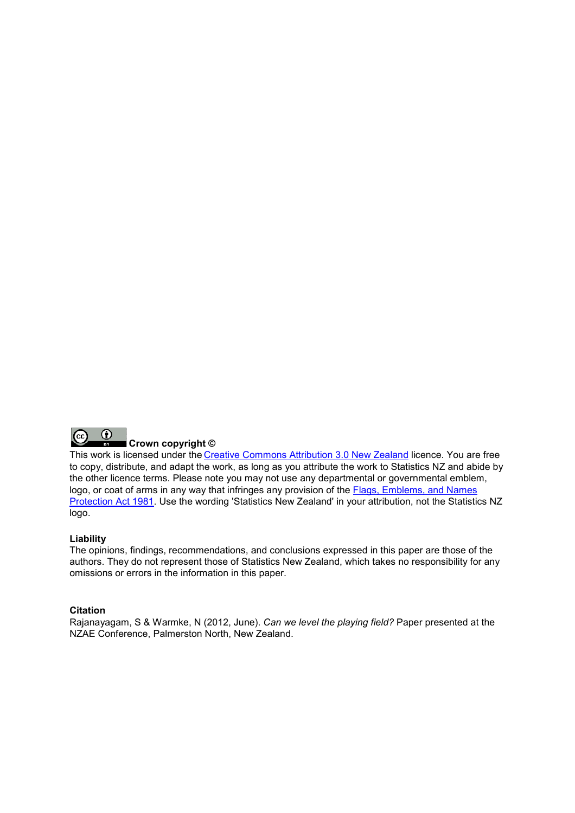

This work is licensed under the Creative Commons Attribution 3.0 New Zealand licence. You are free to copy, distribute, and adapt the work, as long as you attribute the work to Statistics NZ and abide by the other licence terms. Please note you may not use any departmental or governmental emblem, logo, or coat of arms in any way that infringes any provision of the **Flags**, Emblems, and Names Protection Act 1981. Use the wording 'Statistics New Zealand' in your attribution, not the Statistics NZ logo.

### Liability

The opinions, findings, recommendations, and conclusions expressed in this paper are those of the authors. They do not represent those of Statistics New Zealand, which takes no responsibility for any omissions or errors in the information in this paper.

#### **Citation**

Rajanayagam, S & Warmke, N (2012, June). *Can we level the playing field?* Paper presented at the NZAE Conference, Palmerston North, New Zealand Zealand.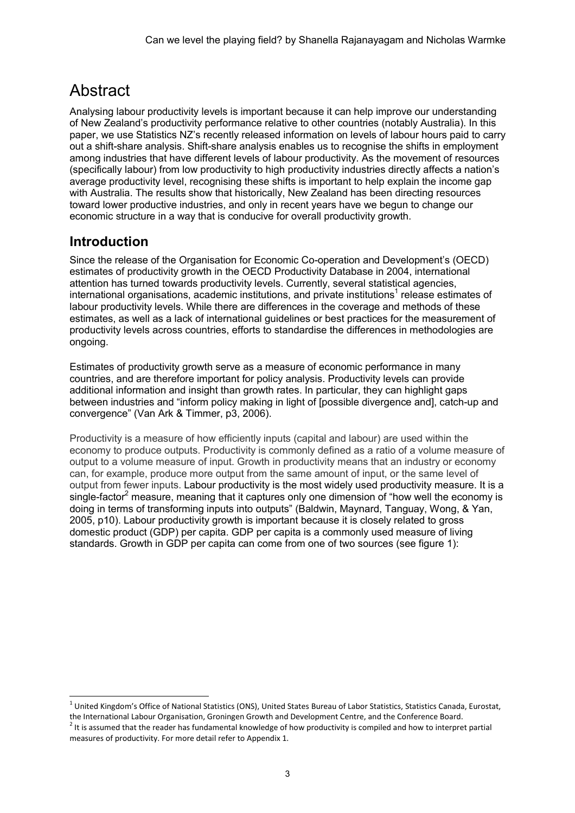# **Abstract**

Analysing labour productivity levels is important because it can help improve our understanding of New Zealand's productivity performance relative to other countries (notably Australia). In this paper, we use Statistics NZ's recently released information on levels of labour hours paid to carry out a shift-share analysis. Shift-share analysis enables us to recognise the shifts in employment among industries that have different levels of labour productivity. As the movement of resources (specifically labour) from low productivity to high productivity industries directly affects a nation's average productivity level, recognising these shifts is important to help explain the income gap with Australia. The results show that historically, New Zealand has been directing resources toward lower productive industries, and only in recent years have we begun to change our economic structure in a way that is conducive for overall productivity growth.

## Introduction

 $\overline{a}$ 

Since the release of the Organisation for Economic Co-operation and Development's (OECD) estimates of productivity growth in the OECD Productivity Database in 2004, international attention has turned towards productivity levels. Currently, several statistical agencies, international organisations, academic institutions, and private institutions<sup>1</sup> release estimates of labour productivity levels. While there are differences in the coverage and methods of these estimates, as well as a lack of international guidelines or best practices for the measurement of productivity levels across countries, efforts to standardise the differences in methodologies are ongoing.

Estimates of productivity growth serve as a measure of economic performance in many countries, and are therefore important for policy analysis. Productivity levels can provide additional information and insight than growth rates. In particular, they can highlight gaps between industries and "inform policy making in light of [possible divergence and], catch-up and convergence" (Van Ark & Timmer, p3, 2006).

Productivity is a measure of how efficiently inputs (capital and labour) are used within the economy to produce outputs. Productivity is commonly defined as a ratio of a volume measure of output to a volume measure of input. Growth in productivity means that an industry or economy can, for example, produce more output from the same amount of input, or the same level of output from fewer inputs. Labour productivity is the most widely used productivity measure. It is a single-factor<sup>2</sup> measure, meaning that it captures only one dimension of "how well the economy is doing in terms of transforming inputs into outputs" (Baldwin, Maynard, Tanguay, Wong, & Yan, 2005, p10). Labour productivity growth is important because it is closely related to gross domestic product (GDP) per capita. GDP per capita is a commonly used measure of living standards. Growth in GDP per capita can come from one of two sources (see figure 1):

 $^1$  United Kingdom's Office of National Statistics (ONS), United States Bureau of Labor Statistics, Statistics Canada, Eurostat, the International Labour Organisation, Groningen Growth and Development Centre, and the Conference Board.

 $2$  It is assumed that the reader has fundamental knowledge of how productivity is compiled and how to interpret partial measures of productivity. For more detail refer to Appendix 1.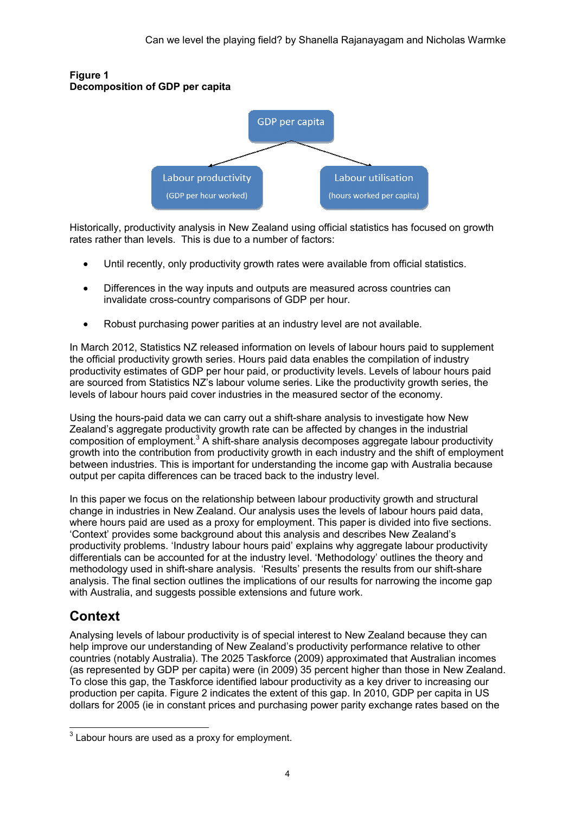

#### Figure 1 Decomposition of GDP per capita

Historically, productivity analysis in New Zealand using official statistics has focused on growth rates rather than levels. This is due to a number of factors:

- Until recently, only productivity growth rates were available from official statistics.
- Until recently, only productivity growth rates were available from official statisti<br>● Differences in the way inputs and outputs are measured across countries can invalidate cross-country comparisons of GDP per hour.
- Robust purchasing power parities at an industry level are not available.

In March 2012, Statistics NZ released information on levels of labour hours paid to supplement the official productivity growth series. Hours paid data enables the compilation of industry productivity estimates of GDP per hour paid, or productivity levels. Levels of labour hours paid are sourced from Statistics NZ's labour volume series. Like the productivity growth series, the levels of labour hours paid cover industries in the measured sector of the economy. country comparisons of GDP per hour.<br>ng power parities at an industry level are not available.<br>s NZ released information on levels of labour hours paid to supple<br>rowth series. Hours paid data enables the compilation of ind

Using the hours-paid data we can carry out a shift-share analysis to investigate how New Zealand's aggregate productivity growth rate can be affected by changes in the industrial composition of employment.<sup>3</sup> A shift-share analysis decomposes aggregate labour productivity growth into the contribution from productivity growth in each industry and the shift of employment between industries. This is important for understanding the income gap with Australia because output per capita differences can be traced back to the industry level.

In this paper we focus on the relationship between labour productivity growth and structural change in industries in New Zealand. Our analysis uses the levels of labour hours paid data, where hours paid are used as a proxy for employment. This paper is divided into five sections. 'Context' provides some background about this analysis and describes New Zealand's productivity problems. 'Industry labour hours paid' explains why aggregate labour differentials can be accounted for at the industry level. 'Methodology' outlines the theory and methodology used in shift-share analysis. 'Results' presents the results from our shift-share analysis. The final section outlines the implications of our results for narrowing the income gap with Australia, and suggests possible extensions and future work. share analysis decomposes aggregate labour productivity<br>ductivity growth in each industry and the shift of employme<br>for understanding the income gap with Australia because<br>traced back to the industry level.<br>ship between la

## Context

Analysing levels of labour productivity is of special interest to New Zealand because they can help improve our understanding of New Zealand's productivity performance relative to other countries (notably Australia). The 2025 Taskforce (2009) approximated that Australian incomes analysis. The final section outlines the implications of our results for narrowing the income gap<br>with Australia, and suggests possible extensions and future work.<br>**Context**<br>Analysing levels of labour productivity is of sp To close this gap, the Taskforce identified labour productivity as a key driver to increasing our production per capita. Figure 2 indicates the extent of this gap. In 2010, GDP per capita in US dollars for 2005 (ie in constant prices and purchasing power parity exchange rates based on the

<sup>&</sup>lt;u>and the mand of the mandal sequence</u><br>and the use of the sequence of the sequent of the same of the sequent.  $\overline{a}$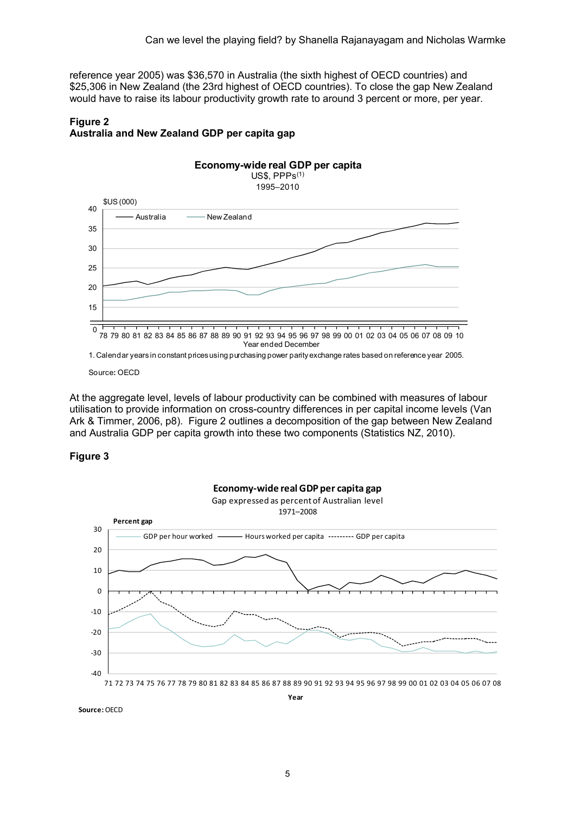reference year 2005) was \$36,570 in Australia (the sixth highest of OECD countries) and \$25,306 in New Zealand (the 23rd highest of OECD countries). To close the gap New Zealand would have to raise its labour productivity growth rate to around 3 percent or more, per year.

## Figure 2 Australia and New Zealand GDP per capita gap



1. Calendar years in constant prices using purchasing power parity exchange rates based on reference year 2005.

Source: OECD

At the aggregate level, levels of labour productivity can be combined with measures of labour utilisation to provide information on cross-country differences in per capital income levels (Van Ark & Timmer, 2006, p8). Figure 2 outlines a decomposition of the gap between New Zealand and Australia GDP per capita growth into these two components (Statistics NZ, 2010).

### Figure 3



Source: OECD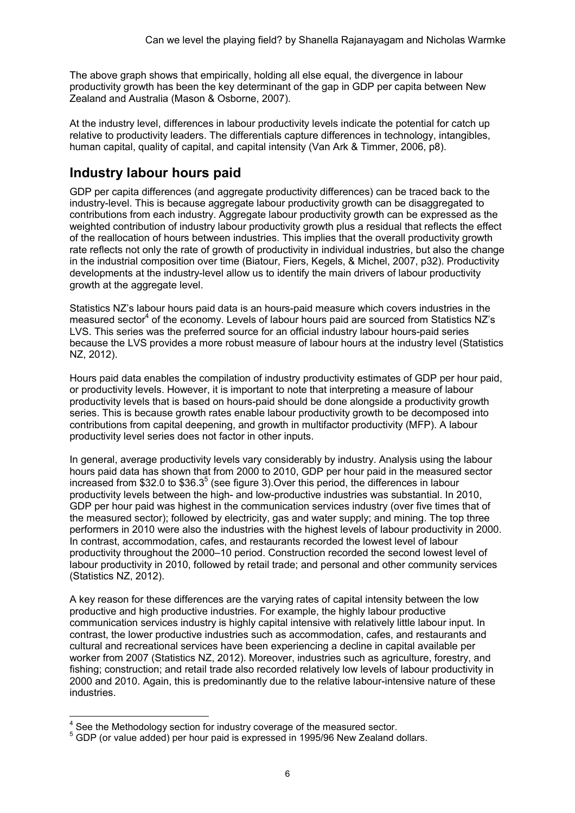The above graph shows that empirically, holding all else equal, the divergence in labour productivity growth has been the key determinant of the gap in GDP per capita between New Zealand and Australia (Mason & Osborne, 2007).

At the industry level, differences in labour productivity levels indicate the potential for catch up relative to productivity leaders. The differentials capture differences in technology, intangibles, human capital, quality of capital, and capital intensity (Van Ark & Timmer, 2006, p8).

## Industry labour hours paid

GDP per capita differences (and aggregate productivity differences) can be traced back to the industry-level. This is because aggregate labour productivity growth can be disaggregated to contributions from each industry. Aggregate labour productivity growth can be expressed as the weighted contribution of industry labour productivity growth plus a residual that reflects the effect of the reallocation of hours between industries. This implies that the overall productivity growth rate reflects not only the rate of growth of productivity in individual industries, but also the change in the industrial composition over time (Biatour, Fiers, Kegels, & Michel, 2007, p32). Productivity developments at the industry-level allow us to identify the main drivers of labour productivity growth at the aggregate level.

Statistics NZ's labour hours paid data is an hours-paid measure which covers industries in the measured sector<sup>4</sup> of the economy. Levels of labour hours paid are sourced from Statistics NZ's LVS. This series was the preferred source for an official industry labour hours-paid series because the LVS provides a more robust measure of labour hours at the industry level (Statistics NZ, 2012).

Hours paid data enables the compilation of industry productivity estimates of GDP per hour paid, or productivity levels. However, it is important to note that interpreting a measure of labour productivity levels that is based on hours-paid should be done alongside a productivity growth series. This is because growth rates enable labour productivity growth to be decomposed into contributions from capital deepening, and growth in multifactor productivity (MFP). A labour productivity level series does not factor in other inputs.

In general, average productivity levels vary considerably by industry. Analysis using the labour hours paid data has shown that from 2000 to 2010, GDP per hour paid in the measured sector increased from \$32.0 to \$36.3<sup>5</sup> (see figure 3). Over this period, the differences in labour productivity levels between the high- and low-productive industries was substantial. In 2010, GDP per hour paid was highest in the communication services industry (over five times that of the measured sector); followed by electricity, gas and water supply; and mining. The top three performers in 2010 were also the industries with the highest levels of labour productivity in 2000. In contrast, accommodation, cafes, and restaurants recorded the lowest level of labour productivity throughout the 2000–10 period. Construction recorded the second lowest level of labour productivity in 2010, followed by retail trade; and personal and other community services (Statistics NZ, 2012).

A key reason for these differences are the varying rates of capital intensity between the low productive and high productive industries. For example, the highly labour productive communication services industry is highly capital intensive with relatively little labour input. In contrast, the lower productive industries such as accommodation, cafes, and restaurants and cultural and recreational services have been experiencing a decline in capital available per worker from 2007 (Statistics NZ, 2012). Moreover, industries such as agriculture, forestry, and fishing; construction; and retail trade also recorded relatively low levels of labour productivity in 2000 and 2010. Again, this is predominantly due to the relative labour-intensive nature of these industries.

<sup>4&</sup>lt;br><sup>4</sup> See the Methodology section for industry coverage of the measured sector.

<sup>&</sup>lt;sup>5</sup> GDP (or value added) per hour paid is expressed in 1995/96 New Zealand dollars.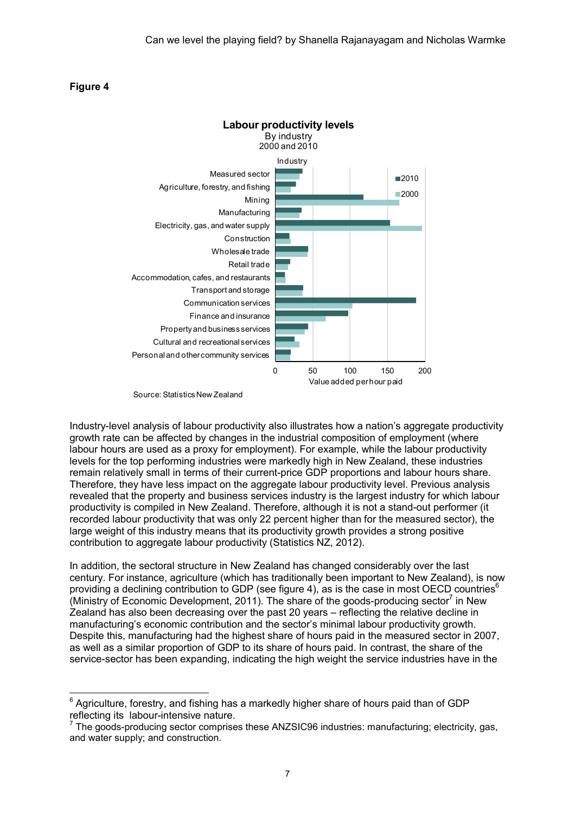### Figure 4

 $\ddot{ }$ 



Source: Statistics New Zealand

Industry-level analysis of labour productivity also illustrates how a nation's aggregate productivity growth rate can be affected by changes in the industrial composition of employment (where labour hours are used as a proxy for employment). For example, while the labour productivity levels for the top performing industries were markedly high in New Zealand, these industries remain relatively small in terms of their current-price GDP proportions and labour hours share. Therefore, they have less impact on the aggregate labour productivity level. Previous analysis revealed that the property and business services industry is the largest industry for which labour productivity is compiled in New Zealand. Therefore, although it is not a stand-out performer (it recorded labour productivity that was only 22 percent higher than for the measured sector), the large weight of this industry means that its productivity growth provides a strong positive contribution to aggregate labour productivity (Statistics NZ, 2012).

In addition, the sectoral structure in New Zealand has changed considerably over the last century. For instance, agriculture (which has traditionally been important to New Zealand), is now providing a declining contribution to GDP (see figure 4), as is the case in most OECD countries<sup>6</sup> (Ministry of Economic Development, 2011). The share of the goods-producing sector<sup>7</sup> in New Zealand has also been decreasing over the past 20 years – reflecting the relative decline in manufacturing's economic contribution and the sector's minimal labour productivity growth. Despite this, manufacturing had the highest share of hours paid in the measured sector in 2007, as well as a similar proportion of GDP to its share of hours paid. In contrast, the share of the service-sector has been expanding, indicating the high weight the service industries have in the

 $6$  Agriculture, forestry, and fishing has a markedly higher share of hours paid than of GDP reflecting its labour-intensive nature.

 $7$  The goods-producing sector comprises these ANZSIC96 industries: manufacturing; electricity, gas, and water supply; and construction.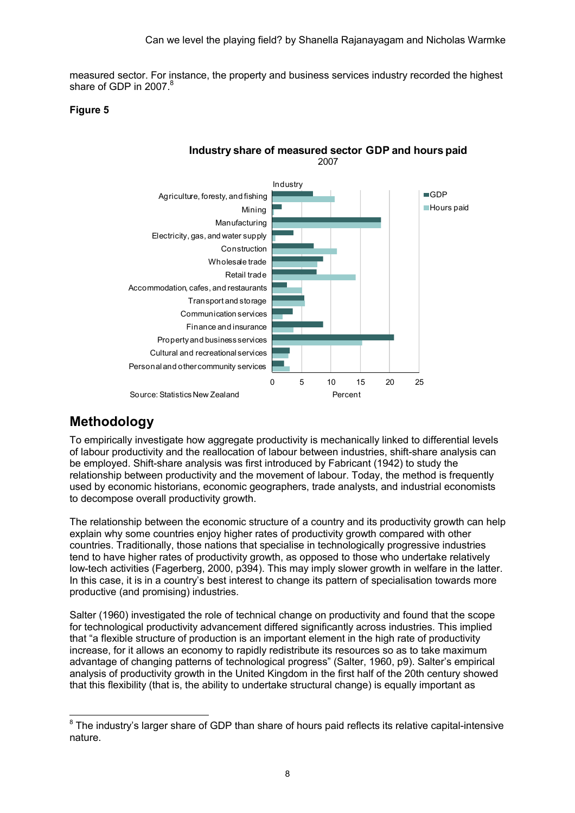measured sector. For instance, the property and business services industry recorded the highest share of GDP in 2007.<sup>8</sup>

## Figure 5



Industry share of measured sector GDP and hours paid 2007

## **Methodology**

To empirically investigate how aggregate productivity is mechanically linked to differential levels of labour productivity and the reallocation of labour between industries, shift-share analysis can be employed. Shift-share analysis was first introduced by Fabricant (1942) to study the relationship between productivity and the movement of labour. Today, the method is frequently used by economic historians, economic geographers, trade analysts, and industrial economists to decompose overall productivity growth.

The relationship between the economic structure of a country and its productivity growth can help explain why some countries enjoy higher rates of productivity growth compared with other countries. Traditionally, those nations that specialise in technologically progressive industries tend to have higher rates of productivity growth, as opposed to those who undertake relatively low-tech activities (Fagerberg, 2000, p394). This may imply slower growth in welfare in the latter. In this case, it is in a country's best interest to change its pattern of specialisation towards more productive (and promising) industries.

Salter (1960) investigated the role of technical change on productivity and found that the scope for technological productivity advancement differed significantly across industries. This implied that "a flexible structure of production is an important element in the high rate of productivity increase, for it allows an economy to rapidly redistribute its resources so as to take maximum advantage of changing patterns of technological progress" (Salter, 1960, p9). Salter's empirical analysis of productivity growth in the United Kingdom in the first half of the 20th century showed that this flexibility (that is, the ability to undertake structural change) is equally important as

 $\overline{a}$  $8$  The industry's larger share of GDP than share of hours paid reflects its relative capital-intensive nature.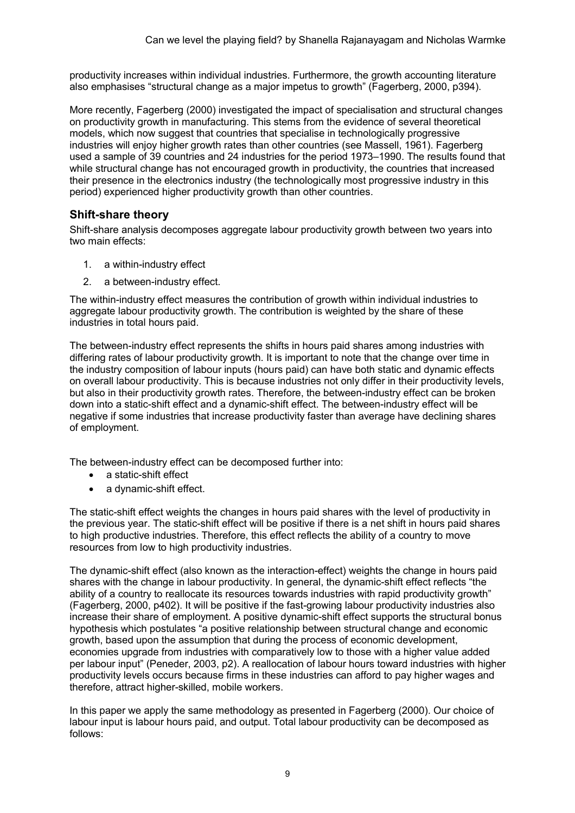productivity increases within individual industries. Furthermore, the growth accounting literature also emphasises "structural change as a major impetus to growth" (Fagerberg, 2000, p394).

More recently, Fagerberg (2000) investigated the impact of specialisation and structural changes on productivity growth in manufacturing. This stems from the evidence of several theoretical models, which now suggest that countries that specialise in technologically progressive industries will enjoy higher growth rates than other countries (see Massell, 1961). Fagerberg used a sample of 39 countries and 24 industries for the period 1973–1990. The results found that while structural change has not encouraged growth in productivity, the countries that increased their presence in the electronics industry (the technologically most progressive industry in this period) experienced higher productivity growth than other countries.

## Shift-share theory

Shift-share analysis decomposes aggregate labour productivity growth between two years into two main effects:

- 1. a within-industry effect
- 2. a between-industry effect.

The within-industry effect measures the contribution of growth within individual industries to aggregate labour productivity growth. The contribution is weighted by the share of these industries in total hours paid.

The between-industry effect represents the shifts in hours paid shares among industries with differing rates of labour productivity growth. It is important to note that the change over time in the industry composition of labour inputs (hours paid) can have both static and dynamic effects on overall labour productivity. This is because industries not only differ in their productivity levels, but also in their productivity growth rates. Therefore, the between-industry effect can be broken down into a static-shift effect and a dynamic-shift effect. The between-industry effect will be negative if some industries that increase productivity faster than average have declining shares of employment.

The between-industry effect can be decomposed further into:

- a static-shift effect
- a dynamic-shift effect.

The static-shift effect weights the changes in hours paid shares with the level of productivity in the previous year. The static-shift effect will be positive if there is a net shift in hours paid shares to high productive industries. Therefore, this effect reflects the ability of a country to move resources from low to high productivity industries.

The dynamic-shift effect (also known as the interaction-effect) weights the change in hours paid shares with the change in labour productivity. In general, the dynamic-shift effect reflects "the ability of a country to reallocate its resources towards industries with rapid productivity growth" (Fagerberg, 2000, p402). It will be positive if the fast-growing labour productivity industries also increase their share of employment. A positive dynamic-shift effect supports the structural bonus hypothesis which postulates "a positive relationship between structural change and economic growth, based upon the assumption that during the process of economic development, economies upgrade from industries with comparatively low to those with a higher value added per labour input" (Peneder, 2003, p2). A reallocation of labour hours toward industries with higher productivity levels occurs because firms in these industries can afford to pay higher wages and therefore, attract higher-skilled, mobile workers.

In this paper we apply the same methodology as presented in Fagerberg (2000). Our choice of labour input is labour hours paid, and output. Total labour productivity can be decomposed as follows: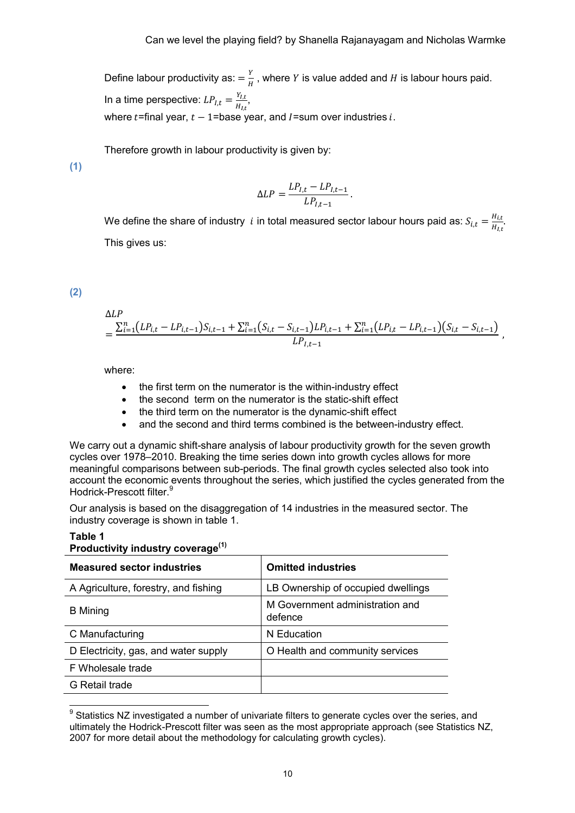Define labour productivity as:  $=\frac{Y}{H}$ , where Y is value added and H is labour hours paid. In a time perspective:  $LP_{I,t} = \frac{Y_{I,t}}{H_{t,t}}$  $\frac{H_{l,t}}{H_{l,t}},$ where  $t$ =final year,  $t - 1$ =base year, and I=sum over industries i.

Therefore growth in labour productivity is given by:

(1)

$$
\Delta LP = \frac{LP_{I,t} - LP_{I,t-1}}{LP_{I,t-1}}.
$$

We define the share of industry  $|i\rangle$  in total measured sector labour hours paid as:  $S_{i,t} = \frac{H_{i,t}}{H_{i,t}}$  $\frac{H_{l,t}}{H_{l,t}}$ . This gives us:

(2)

Table 1

$$
\Delta LP\n= \frac{\sum_{i=1}^{n} (LP_{i,t} - LP_{i,t-1}) S_{i,t-1} + \sum_{i=1}^{n} (S_{i,t} - S_{i,t-1}) LP_{i,t-1} + \sum_{i=1}^{n} (LP_{i,t} - LP_{i,t-1}) (S_{i,t} - S_{i,t-1})}{LP_{l,t-1}},
$$

where:

- the first term on the numerator is the within-industry effect
- the second term on the numerator is the static-shift effect
- the third term on the numerator is the dynamic-shift effect
- and the second and third terms combined is the between-industry effect.

We carry out a dynamic shift-share analysis of labour productivity growth for the seven growth cycles over 1978–2010. Breaking the time series down into growth cycles allows for more meaningful comparisons between sub-periods. The final growth cycles selected also took into account the economic events throughout the series, which justified the cycles generated from the Hodrick-Prescott filter.<sup>9</sup>

Our analysis is based on the disaggregation of 14 industries in the measured sector. The industry coverage is shown in table 1.

| <b>Productivity industry coverage</b> |                                            |  |  |  |  |
|---------------------------------------|--------------------------------------------|--|--|--|--|
| <b>Measured sector industries</b>     | <b>Omitted industries</b>                  |  |  |  |  |
| A Agriculture, forestry, and fishing  | LB Ownership of occupied dwellings         |  |  |  |  |
| <b>B</b> Mining                       | M Government administration and<br>defence |  |  |  |  |
| C Manufacturing                       | N Education                                |  |  |  |  |
| D Electricity, gas, and water supply  | O Health and community services            |  |  |  |  |
| F Wholesale trade                     |                                            |  |  |  |  |
| G Retail trade                        |                                            |  |  |  |  |
|                                       |                                            |  |  |  |  |

## Productivity inductor coverage(1)

<sup>9&</sup>lt;br><sup>9</sup> Statistics NZ investigated a number of univariate filters to generate cycles over the series, and ultimately the Hodrick-Prescott filter was seen as the most appropriate approach (see Statistics NZ, 2007 for more detail about the methodology for calculating growth cycles).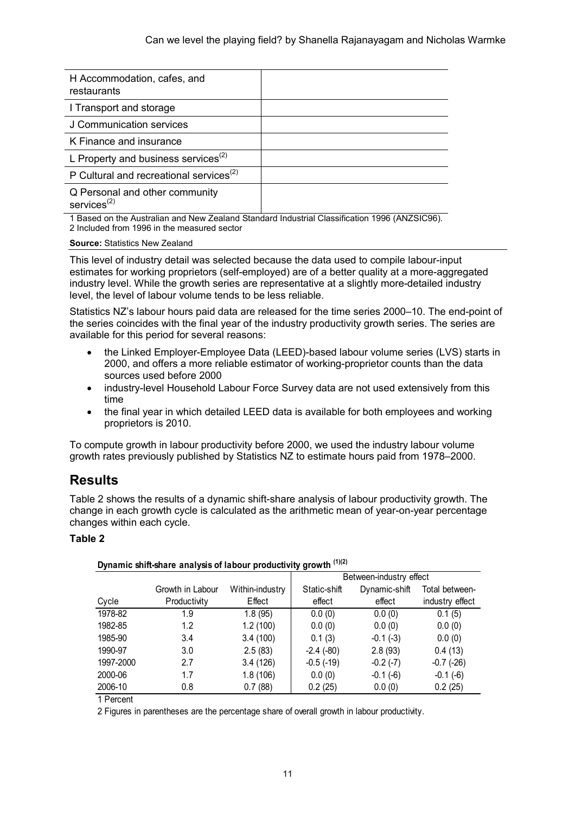| H Accommodation, cafes, and<br>restaurants          |  |
|-----------------------------------------------------|--|
| I Transport and storage                             |  |
| J Communication services                            |  |
| K Finance and insurance                             |  |
| L Property and business services <sup>(2)</sup>     |  |
| P Cultural and recreational services <sup>(2)</sup> |  |
| Q Personal and other community<br>services $(2)$    |  |

1 Based on the Australian and New Zealand Standard Industrial Classification 1996 (ANZSIC96). 2 Included from 1996 in the measured sector

#### Source: Statistics New Zealand

This level of industry detail was selected because the data used to compile labour-input estimates for working proprietors (self-employed) are of a better quality at a more-aggregated industry level. While the growth series are representative at a slightly more-detailed industry level, the level of labour volume tends to be less reliable.

Statistics NZ's labour hours paid data are released for the time series 2000–10. The end-point of the series coincides with the final year of the industry productivity growth series. The series are available for this period for several reasons:

- the Linked Employer-Employee Data (LEED)-based labour volume series (LVS) starts in 2000, and offers a more reliable estimator of working-proprietor counts than the data sources used before 2000
- industry-level Household Labour Force Survey data are not used extensively from this time
- the final year in which detailed LEED data is available for both employees and working proprietors is 2010.

To compute growth in labour productivity before 2000, we used the industry labour volume growth rates previously published by Statistics NZ to estimate hours paid from 1978–2000.

## Results

Table 2 shows the results of a dynamic shift-share analysis of labour productivity growth. The change in each growth cycle is calculated as the arithmetic mean of year-on-year percentage changes within each cycle.

## Table 2

|           |                  |                 | Between-industry effect |               |                 |  |  |
|-----------|------------------|-----------------|-------------------------|---------------|-----------------|--|--|
|           | Growth in Labour | Within-industry | Static-shift            | Dynamic-shift | Total between-  |  |  |
| Cycle     | Productivity     | Effect          | effect                  | effect        | industry effect |  |  |
| 1978-82   | 1.9              | 1.8(95)         | 0.0(0)                  | 0.0(0)        | 0.1(5)          |  |  |
| 1982-85   | 1.2              | 1.2(100)        | 0.0(0)                  | 0.0(0)        | 0.0(0)          |  |  |
| 1985-90   | 3.4              | 3.4(100)        | 0.1(3)                  | $-0.1(-3)$    | 0.0(0)          |  |  |
| 1990-97   | 3.0              | 2.5(83)         | $-2.4(-80)$             | 2.8(93)       | 0.4(13)         |  |  |
| 1997-2000 | 2.7              | 3.4(126)        | $-0.5(-19)$             | $-0.2(-7)$    | $-0.7(-26)$     |  |  |
| 2000-06   | 1.7              | 1.8(106)        | 0.0(0)                  | $-0.1(-6)$    | $-0.1(-6)$      |  |  |
| 2006-10   | 0.8              | 0.7(88)         | 0.2(25)                 | 0.0(0)        | 0.2(25)         |  |  |

### Dynamic shift-share analysis of labour productivity growth (1)(2)

1 Percent

2 Figures in parentheses are the percentage share of overall growth in labour productivity.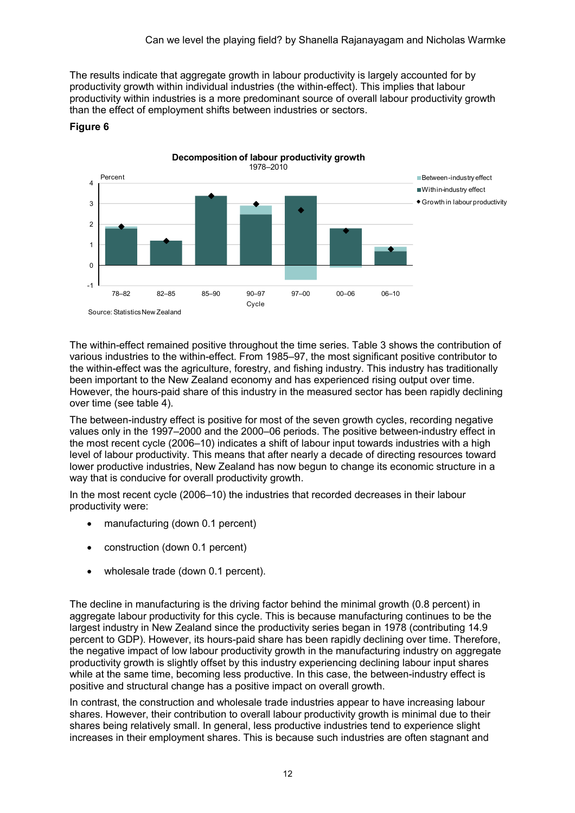The results indicate that aggregate growth in labour productivity is largely accounted for by productivity growth within individual industries (the within-effect). This implies that labour productivity within industries is a more predominant source of overall labour productivity growth than the effect of employment shifts between industries or sectors.



### Figure 6

The within-effect remained positive throughout the time series. Table 3 shows the contribution of various industries to the within-effect. From 1985–97, the most significant positive contributor to the within-effect was the agriculture, forestry, and fishing industry. This industry has traditionally been important to the New Zealand economy and has experienced rising output over time. However, the hours-paid share of this industry in the measured sector has been rapidly declining over time (see table 4).

The between-industry effect is positive for most of the seven growth cycles, recording negative values only in the 1997–2000 and the 2000–06 periods. The positive between-industry effect in the most recent cycle (2006–10) indicates a shift of labour input towards industries with a high level of labour productivity. This means that after nearly a decade of directing resources toward lower productive industries, New Zealand has now begun to change its economic structure in a way that is conducive for overall productivity growth.

In the most recent cycle (2006–10) the industries that recorded decreases in their labour productivity were:

- manufacturing (down 0.1 percent)
- construction (down 0.1 percent)
- wholesale trade (down 0.1 percent).

The decline in manufacturing is the driving factor behind the minimal growth (0.8 percent) in aggregate labour productivity for this cycle. This is because manufacturing continues to be the largest industry in New Zealand since the productivity series began in 1978 (contributing 14.9 percent to GDP). However, its hours-paid share has been rapidly declining over time. Therefore, the negative impact of low labour productivity growth in the manufacturing industry on aggregate productivity growth is slightly offset by this industry experiencing declining labour input shares while at the same time, becoming less productive. In this case, the between-industry effect is positive and structural change has a positive impact on overall growth.

In contrast, the construction and wholesale trade industries appear to have increasing labour shares. However, their contribution to overall labour productivity growth is minimal due to their shares being relatively small. In general, less productive industries tend to experience slight increases in their employment shares. This is because such industries are often stagnant and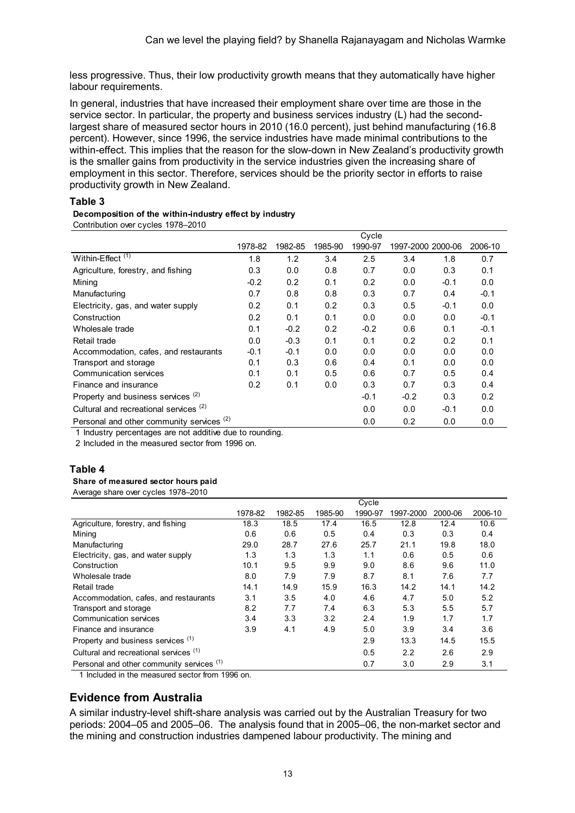less progressive. Thus, their low productivity growth means that they automatically have higher labour requirements.

In general, industries that have increased their employment share over time are those in the service sector. In particular, the property and business services industry (L) had the secondlargest share of measured sector hours in 2010 (16.0 percent), just behind manufacturing (16.8 percent). However, since 1996, the service industries have made minimal contributions to the within-effect. This implies that the reason for the slow-down in New Zealand's productivity growth is the smaller gains from productivity in the service industries given the increasing share of employment in this sector. Therefore, services should be the priority sector in efforts to raise productivity growth in New Zealand.

#### Table 3

#### Decomposition of the within-industry effect by industry

Contribution over cycles 1978–2010

|                                                                                                                                                           |         |         |         | Cycle   |                   |        |         |
|-----------------------------------------------------------------------------------------------------------------------------------------------------------|---------|---------|---------|---------|-------------------|--------|---------|
|                                                                                                                                                           | 1978-82 | 1982-85 | 1985-90 | 1990-97 | 1997-2000 2000-06 |        | 2006-10 |
| Within-Effect <sup>(1)</sup>                                                                                                                              | 1.8     | 1.2     | 3.4     | 2.5     | 3.4               | 1.8    | 0.7     |
| Agriculture, forestry, and fishing                                                                                                                        | 0.3     | 0.0     | 0.8     | 0.7     | 0.0               | 0.3    | 0.1     |
| Mining                                                                                                                                                    | $-0.2$  | 0.2     | 0.1     | 0.2     | 0.0               | $-0.1$ | 0.0     |
| Manufacturing                                                                                                                                             | 0.7     | 0.8     | 0.8     | 0.3     | 0.7               | 0.4    | $-0.1$  |
| Electricity, gas, and water supply                                                                                                                        | 0.2     | 0.1     | 0.2     | 0.3     | 0.5               | $-0.1$ | 0.0     |
| Construction                                                                                                                                              | 0.2     | 0.1     | 0.1     | 0.0     | 0.0               | 0.0    | $-0.1$  |
| Wholesale trade                                                                                                                                           | 0.1     | $-0.2$  | 0.2     | $-0.2$  | 0.6               | 0.1    | $-0.1$  |
| Retail trade                                                                                                                                              | 0.0     | $-0.3$  | 0.1     | 0.1     | 0.2               | 0.2    | 0.1     |
| Accommodation, cafes, and restaurants                                                                                                                     | $-0.1$  | $-0.1$  | 0.0     | 0.0     | 0.0               | 0.0    | 0.0     |
| Transport and storage                                                                                                                                     | 0.1     | 0.3     | 0.6     | 0.4     | 0.1               | 0.0    | 0.0     |
| Communication services                                                                                                                                    | 0.1     | 0.1     | 0.5     | 0.6     | 0.7               | 0.5    | 0.4     |
| Finance and insurance                                                                                                                                     | 0.2     | 0.1     | 0.0     | 0.3     | 0.7               | 0.3    | 0.4     |
| Property and business services <sup>(2)</sup>                                                                                                             |         |         |         | $-0.1$  | $-0.2$            | 0.3    | 0.2     |
| Cultural and recreational services <sup>(2)</sup>                                                                                                         |         |         |         | 0.0     | 0.0               | $-0.1$ | 0.0     |
| Personal and other community services <sup>(2)</sup><br>المتمازلة وبالمستمر والمتمازيات والمناطر والمتواطن والمستور والمستحدث والمستقاد المستور والمسارية |         |         |         | 0.0     | 0.2               | 0.0    | 0.0     |

1 Industry percentages are not additive due to rounding.

2 Included in the measured sector from 1996 on.

### Table 4

Share of measured sector hours paid

Average share over cycles 1978–2010

|                                                                                           |         |         |         | Cycle   |           |         |         |
|-------------------------------------------------------------------------------------------|---------|---------|---------|---------|-----------|---------|---------|
|                                                                                           | 1978-82 | 1982-85 | 1985-90 | 1990-97 | 1997-2000 | 2000-06 | 2006-10 |
| Agriculture, forestry, and fishing                                                        | 18.3    | 18.5    | 17.4    | 16.5    | 12.8      | 12.4    | 10.6    |
| Mining                                                                                    | 0.6     | 0.6     | 0.5     | 0.4     | 0.3       | 0.3     | 0.4     |
| Manufacturing                                                                             | 29.0    | 28.7    | 27.6    | 25.7    | 21.1      | 19.8    | 18.0    |
| Electricity, gas, and water supply                                                        | 1.3     | 1.3     | 1.3     | 1.1     | 0.6       | 0.5     | 0.6     |
| Construction                                                                              | 10.1    | 9.5     | 9.9     | 9.0     | 8.6       | 9.6     | 11.0    |
| Wholesale trade                                                                           | 8.0     | 7.9     | 7.9     | 8.7     | 8.1       | 7.6     | 7.7     |
| Retail trade                                                                              | 14.1    | 14.9    | 15.9    | 16.3    | 14.2      | 14.1    | 14.2    |
| Accommodation, cafes, and restaurants                                                     | 3.1     | 3.5     | 4.0     | 4.6     | 4.7       | 5.0     | 5.2     |
| Transport and storage                                                                     | 8.2     | 7.7     | 7.4     | 6.3     | 5.3       | 5.5     | 5.7     |
| <b>Communication services</b>                                                             | 3.4     | 3.3     | 3.2     | 2.4     | 1.9       | 1.7     | 1.7     |
| Finance and insurance                                                                     | 3.9     | 4.1     | 4.9     | 5.0     | 3.9       | 3.4     | 3.6     |
| Property and business services <sup>(1)</sup>                                             |         |         |         | 2.9     | 13.3      | 14.5    | 15.5    |
| Cultural and recreational services (1)                                                    |         |         |         | 0.5     | 2.2       | 2.6     | 2.9     |
| Personal and other community services <sup>(1)</sup>                                      |         |         |         | 0.7     | 3.0       | 2.9     | 3.1     |
| $\overline{A}$ is the internal contract of the state of $\overline{A}$ and $\overline{A}$ |         |         |         |         |           |         |         |

1 Included in the measured sector from 1996 on.

## Evidence from Australia

A similar industry-level shift-share analysis was carried out by the Australian Treasury for two periods: 2004–05 and 2005–06. The analysis found that in 2005–06, the non-market sector and the mining and construction industries dampened labour productivity. The mining and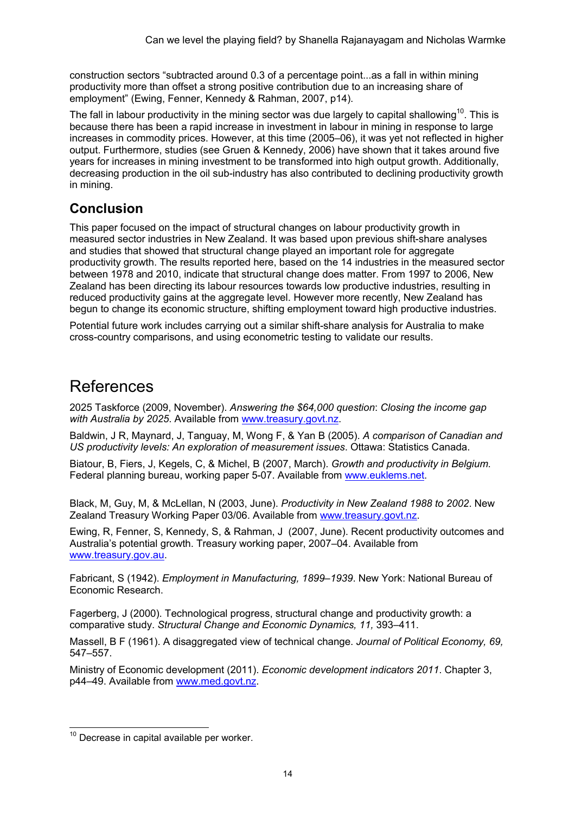construction sectors "subtracted around 0.3 of a percentage point...as a fall in within mining productivity more than offset a strong positive contribution due to an increasing share of employment" (Ewing, Fenner, Kennedy & Rahman, 2007, p14).

The fall in labour productivity in the mining sector was due largely to capital shallowing<sup>10</sup>. This is because there has been a rapid increase in investment in labour in mining in response to large increases in commodity prices. However, at this time (2005–06), it was yet not reflected in higher output. Furthermore, studies (see Gruen & Kennedy, 2006) have shown that it takes around five years for increases in mining investment to be transformed into high output growth. Additionally, decreasing production in the oil sub-industry has also contributed to declining productivity growth in mining.

## Conclusion

This paper focused on the impact of structural changes on labour productivity growth in measured sector industries in New Zealand. It was based upon previous shift-share analyses and studies that showed that structural change played an important role for aggregate productivity growth. The results reported here, based on the 14 industries in the measured sector between 1978 and 2010, indicate that structural change does matter. From 1997 to 2006, New Zealand has been directing its labour resources towards low productive industries, resulting in reduced productivity gains at the aggregate level. However more recently, New Zealand has begun to change its economic structure, shifting employment toward high productive industries.

Potential future work includes carrying out a similar shift-share analysis for Australia to make cross-country comparisons, and using econometric testing to validate our results.

# References

2025 Taskforce (2009, November). Answering the \$64,000 question: Closing the income gap with Australia by 2025. Available from www.treasury.govt.nz.

Baldwin, J R, Maynard, J, Tanguay, M, Wong F, & Yan B (2005). A comparison of Canadian and US productivity levels: An exploration of measurement issues. Ottawa: Statistics Canada.

Biatour, B, Fiers, J, Kegels, C, & Michel, B (2007, March). Growth and productivity in Belgium. Federal planning bureau, working paper 5-07. Available from www.euklems.net.

Black, M, Guy, M, & McLellan, N (2003, June). Productivity in New Zealand 1988 to 2002. New Zealand Treasury Working Paper 03/06. Available from www.treasury.govt.nz.

Ewing, R, Fenner, S, Kennedy, S, & Rahman, J (2007, June). Recent productivity outcomes and Australia's potential growth. Treasury working paper, 2007–04. Available from www.treasury.gov.au.

Fabricant, S (1942). Employment in Manufacturing, 1899–1939. New York: National Bureau of Economic Research.

Fagerberg, J (2000). Technological progress, structural change and productivity growth: a comparative study. Structural Change and Economic Dynamics, 11, 393–411.

Massell, B F (1961). A disaggregated view of technical change. Journal of Political Economy, 69, 547–557.

Ministry of Economic development (2011). Economic development indicators 2011. Chapter 3, p44–49. Available from www.med.govt.nz.

 $\overline{\phantom{a}}$  $10$  Decrease in capital available per worker.